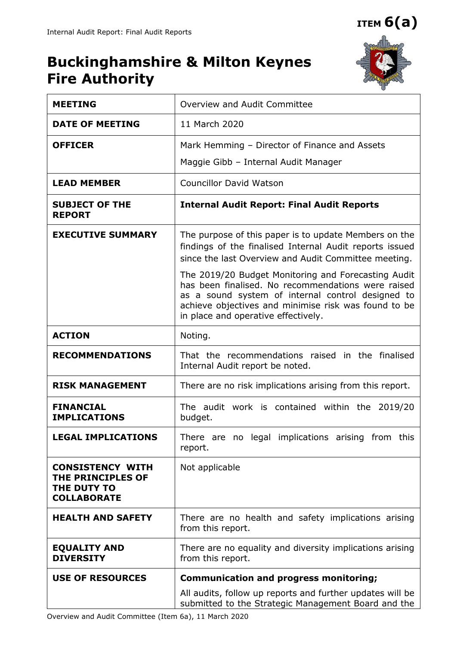**ITEM 6(a)**

# **Buckinghamshire & Milton Keynes Fire Authority**



| <b>MEETING</b>                                                                    | Overview and Audit Committee                                                                                                                                                                                                                                  |  |  |
|-----------------------------------------------------------------------------------|---------------------------------------------------------------------------------------------------------------------------------------------------------------------------------------------------------------------------------------------------------------|--|--|
| <b>DATE OF MEETING</b>                                                            | 11 March 2020                                                                                                                                                                                                                                                 |  |  |
| <b>OFFICER</b>                                                                    | Mark Hemming - Director of Finance and Assets                                                                                                                                                                                                                 |  |  |
|                                                                                   | Maggie Gibb - Internal Audit Manager                                                                                                                                                                                                                          |  |  |
| <b>LEAD MEMBER</b>                                                                | <b>Councillor David Watson</b>                                                                                                                                                                                                                                |  |  |
| <b>SUBJECT OF THE</b><br><b>REPORT</b>                                            | <b>Internal Audit Report: Final Audit Reports</b>                                                                                                                                                                                                             |  |  |
| <b>EXECUTIVE SUMMARY</b>                                                          | The purpose of this paper is to update Members on the<br>findings of the finalised Internal Audit reports issued<br>since the last Overview and Audit Committee meeting.                                                                                      |  |  |
|                                                                                   | The 2019/20 Budget Monitoring and Forecasting Audit<br>has been finalised. No recommendations were raised<br>as a sound system of internal control designed to<br>achieve objectives and minimise risk was found to be<br>in place and operative effectively. |  |  |
| <b>ACTION</b>                                                                     | Noting.                                                                                                                                                                                                                                                       |  |  |
| <b>RECOMMENDATIONS</b>                                                            | That the recommendations raised in the finalised<br>Internal Audit report be noted.                                                                                                                                                                           |  |  |
| <b>RISK MANAGEMENT</b>                                                            | There are no risk implications arising from this report.                                                                                                                                                                                                      |  |  |
| <b>FINANCIAL</b><br><b>IMPLICATIONS</b>                                           | The audit work is contained within the 2019/20<br>budget.                                                                                                                                                                                                     |  |  |
| <b>LEGAL IMPLICATIONS</b>                                                         | There are no legal implications arising from this<br>report.                                                                                                                                                                                                  |  |  |
| <b>CONSISTENCY WITH</b><br>THE PRINCIPLES OF<br>THE DUTY TO<br><b>COLLABORATE</b> | Not applicable                                                                                                                                                                                                                                                |  |  |
| <b>HEALTH AND SAFETY</b>                                                          | There are no health and safety implications arising<br>from this report.                                                                                                                                                                                      |  |  |
| <b>EQUALITY AND</b><br><b>DIVERSITY</b>                                           | There are no equality and diversity implications arising<br>from this report.                                                                                                                                                                                 |  |  |
| <b>USE OF RESOURCES</b>                                                           | <b>Communication and progress monitoring;</b>                                                                                                                                                                                                                 |  |  |
|                                                                                   | All audits, follow up reports and further updates will be<br>submitted to the Strategic Management Board and the                                                                                                                                              |  |  |

Overview and Audit Committee (Item 6a), 11 March 2020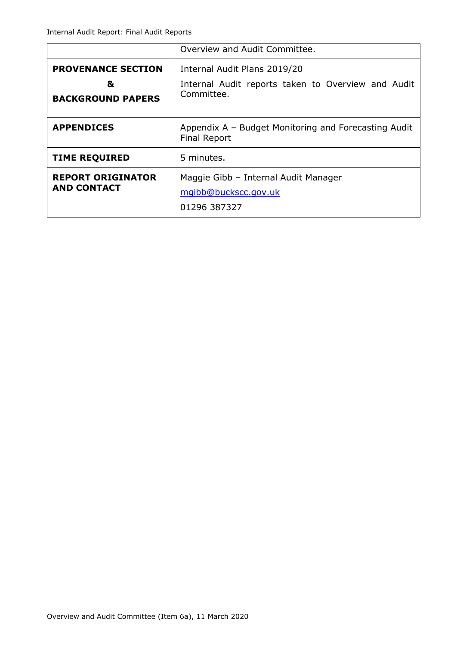|                                                | Overview and Audit Committee.                                                |  |  |
|------------------------------------------------|------------------------------------------------------------------------------|--|--|
| <b>PROVENANCE SECTION</b>                      | Internal Audit Plans 2019/20                                                 |  |  |
| &<br><b>BACKGROUND PAPERS</b>                  | Internal Audit reports taken to Overview and Audit<br>Committee.             |  |  |
| <b>APPENDICES</b>                              | Appendix A – Budget Monitoring and Forecasting Audit<br><b>Final Report</b>  |  |  |
| <b>TIME REQUIRED</b>                           | 5 minutes.                                                                   |  |  |
| <b>REPORT ORIGINATOR</b><br><b>AND CONTACT</b> | Maggie Gibb - Internal Audit Manager<br>mgibb@buckscc.gov.uk<br>01296 387327 |  |  |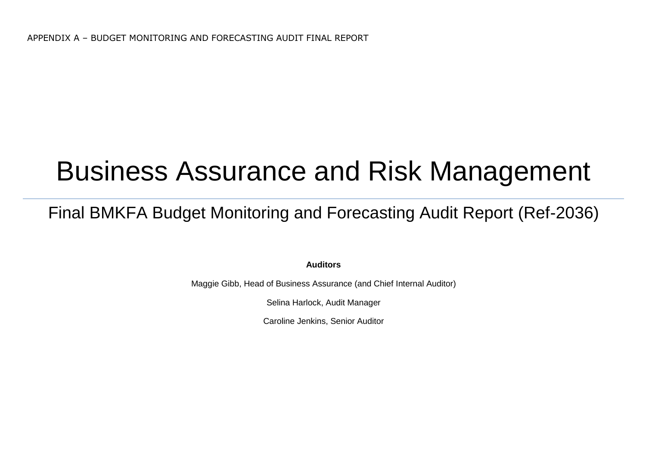# Business Assurance and Risk Management

# Final BMKFA Budget Monitoring and Forecasting Audit Report (Ref-2036)

**Auditors** 

Maggie Gibb, Head of Business Assurance (and Chief Internal Auditor)

Selina Harlock, Audit Manager

Caroline Jenkins, Senior Auditor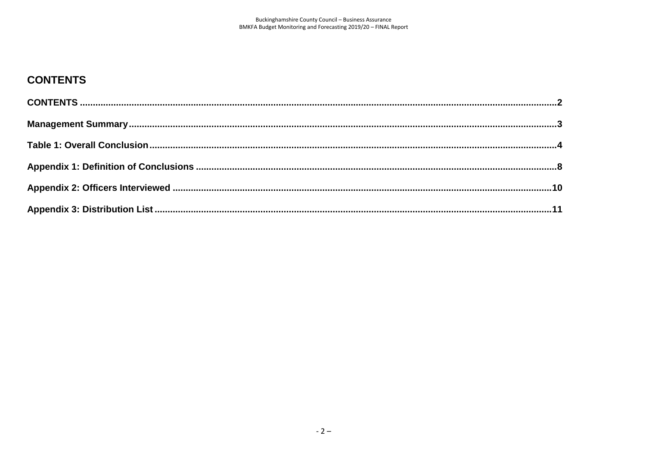# <span id="page-3-0"></span>**CONTENTS**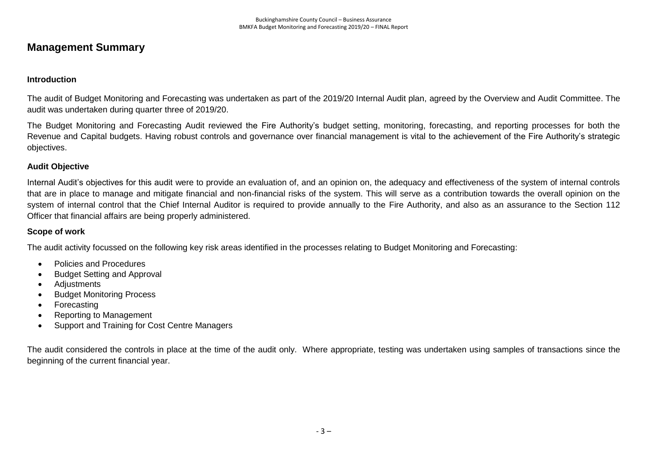# <span id="page-4-0"></span>**Management Summary**

### **Introduction**

The audit of Budget Monitoring and Forecasting was undertaken as part of the 2019/20 Internal Audit plan, agreed by the Overview and Audit Committee. The audit was undertaken during quarter three of 2019/20.

The Budget Monitoring and Forecasting Audit reviewed the Fire Authority's budget setting, monitoring, forecasting, and reporting processes for both the Revenue and Capital budgets. Having robust controls and governance over financial management is vital to the achievement of the Fire Authority's strategic objectives.

#### **Audit Objective**

Internal Audit's objectives for this audit were to provide an evaluation of, and an opinion on, the adequacy and effectiveness of the system of internal controls that are in place to manage and mitigate financial and non-financial risks of the system. This will serve as a contribution towards the overall opinion on the system of internal control that the Chief Internal Auditor is required to provide annually to the Fire Authority, and also as an assurance to the Section 112 Officer that financial affairs are being properly administered.

#### **Scope of work**

The audit activity focussed on the following key risk areas identified in the processes relating to Budget Monitoring and Forecasting:

- Policies and Procedures
- Budget Setting and Approval
- Adiustments
- Budget Monitoring Process
- Forecasting
- Reporting to Management
- Support and Training for Cost Centre Managers

The audit considered the controls in place at the time of the audit only. Where appropriate, testing was undertaken using samples of transactions since the beginning of the current financial year.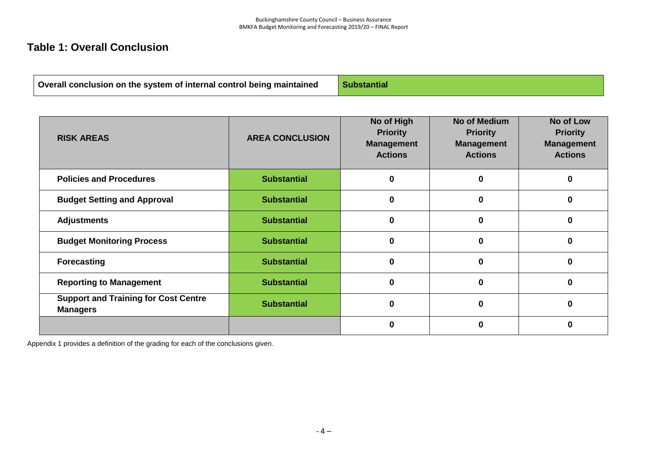# <span id="page-5-0"></span>**Table 1: Overall Conclusion**

**Overall conclusion on the system of internal control being maintained Substantial** 

| <b>RISK AREAS</b>                                              | <b>AREA CONCLUSION</b> | No of High<br><b>Priority</b><br><b>Management</b><br><b>Actions</b> | No of Medium<br><b>Priority</b><br><b>Management</b><br><b>Actions</b> | No of Low<br><b>Priority</b><br><b>Management</b><br><b>Actions</b> |
|----------------------------------------------------------------|------------------------|----------------------------------------------------------------------|------------------------------------------------------------------------|---------------------------------------------------------------------|
| <b>Policies and Procedures</b>                                 | <b>Substantial</b>     | 0                                                                    |                                                                        | 0                                                                   |
| <b>Budget Setting and Approval</b>                             | <b>Substantial</b>     | 0                                                                    |                                                                        | ŋ                                                                   |
| <b>Adjustments</b>                                             | <b>Substantial</b>     | 0                                                                    | 0                                                                      | 0                                                                   |
| <b>Budget Monitoring Process</b>                               | <b>Substantial</b>     | 0                                                                    | 0                                                                      | ŋ                                                                   |
| <b>Forecasting</b>                                             | <b>Substantial</b>     | 0                                                                    | U                                                                      | 0                                                                   |
| <b>Reporting to Management</b>                                 | <b>Substantial</b>     | 0                                                                    | 0                                                                      | U                                                                   |
| <b>Support and Training for Cost Centre</b><br><b>Managers</b> | <b>Substantial</b>     | ŋ                                                                    |                                                                        | U                                                                   |
|                                                                |                        | U                                                                    |                                                                        | 0                                                                   |

Appendix 1 provides a definition of the grading for each of the conclusions given.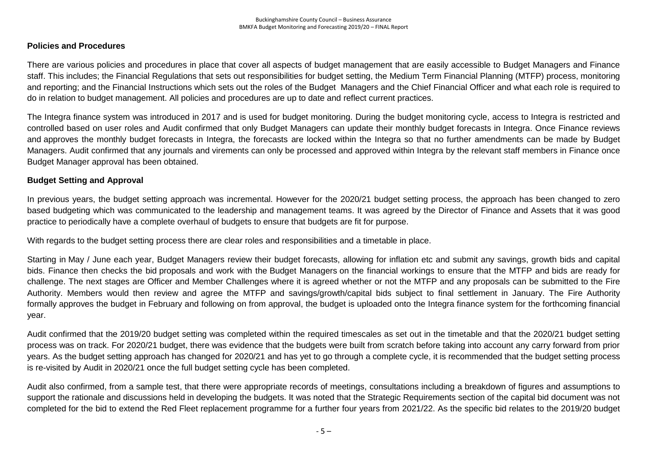#### **Policies and Procedures**

There are various policies and procedures in place that cover all aspects of budget management that are easily accessible to Budget Managers and Finance staff. This includes; the Financial Regulations that sets out responsibilities for budget setting, the Medium Term Financial Planning (MTFP) process, monitoring and reporting; and the Financial Instructions which sets out the roles of the Budget Managers and the Chief Financial Officer and what each role is required to do in relation to budget management. All policies and procedures are up to date and reflect current practices.

The Integra finance system was introduced in 2017 and is used for budget monitoring. During the budget monitoring cycle, access to Integra is restricted and controlled based on user roles and Audit confirmed that only Budget Managers can update their monthly budget forecasts in Integra. Once Finance reviews and approves the monthly budget forecasts in Integra, the forecasts are locked within the Integra so that no further amendments can be made by Budget Managers. Audit confirmed that any journals and virements can only be processed and approved within Integra by the relevant staff members in Finance once Budget Manager approval has been obtained.

#### **Budget Setting and Approval**

In previous years, the budget setting approach was incremental. However for the 2020/21 budget setting process, the approach has been changed to zero based budgeting which was communicated to the leadership and management teams. It was agreed by the Director of Finance and Assets that it was good practice to periodically have a complete overhaul of budgets to ensure that budgets are fit for purpose.

With regards to the budget setting process there are clear roles and responsibilities and a timetable in place.

Starting in May / June each year, Budget Managers review their budget forecasts, allowing for inflation etc and submit any savings, growth bids and capital bids. Finance then checks the bid proposals and work with the Budget Managers on the financial workings to ensure that the MTFP and bids are ready for challenge. The next stages are Officer and Member Challenges where it is agreed whether or not the MTFP and any proposals can be submitted to the Fire Authority. Members would then review and agree the MTFP and savings/growth/capital bids subject to final settlement in January. The Fire Authority formally approves the budget in February and following on from approval, the budget is uploaded onto the Integra finance system for the forthcoming financial year.

Audit confirmed that the 2019/20 budget setting was completed within the required timescales as set out in the timetable and that the 2020/21 budget setting process was on track. For 2020/21 budget, there was evidence that the budgets were built from scratch before taking into account any carry forward from prior years. As the budget setting approach has changed for 2020/21 and has yet to go through a complete cycle, it is recommended that the budget setting process is re-visited by Audit in 2020/21 once the full budget setting cycle has been completed.

Audit also confirmed, from a sample test, that there were appropriate records of meetings, consultations including a breakdown of figures and assumptions to support the rationale and discussions held in developing the budgets. It was noted that the Strategic Requirements section of the capital bid document was not completed for the bid to extend the Red Fleet replacement programme for a further four years from 2021/22. As the specific bid relates to the 2019/20 budget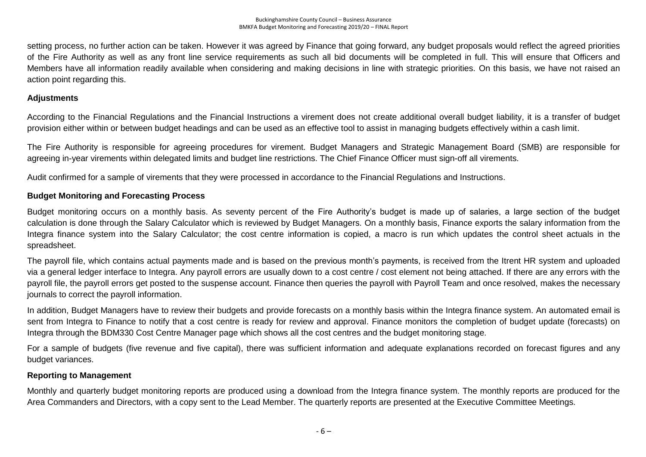setting process, no further action can be taken. However it was agreed by Finance that going forward, any budget proposals would reflect the agreed priorities of the Fire Authority as well as any front line service requirements as such all bid documents will be completed in full. This will ensure that Officers and Members have all information readily available when considering and making decisions in line with strategic priorities. On this basis, we have not raised an action point regarding this.

#### **Adjustments**

According to the Financial Regulations and the Financial Instructions a virement does not create additional overall budget liability, it is a transfer of budget provision either within or between budget headings and can be used as an effective tool to assist in managing budgets effectively within a cash limit.

The Fire Authority is responsible for agreeing procedures for virement. Budget Managers and Strategic Management Board (SMB) are responsible for agreeing in-year virements within delegated limits and budget line restrictions. The Chief Finance Officer must sign-off all virements.

Audit confirmed for a sample of virements that they were processed in accordance to the Financial Regulations and Instructions.

#### **Budget Monitoring and Forecasting Process**

Budget monitoring occurs on a monthly basis. As seventy percent of the Fire Authority's budget is made up of salaries, a large section of the budget calculation is done through the Salary Calculator which is reviewed by Budget Managers. On a monthly basis, Finance exports the salary information from the Integra finance system into the Salary Calculator; the cost centre information is copied, a macro is run which updates the control sheet actuals in the spreadsheet.

The payroll file, which contains actual payments made and is based on the previous month's payments, is received from the Itrent HR system and uploaded via a general ledger interface to Integra. Any payroll errors are usually down to a cost centre / cost element not being attached. If there are any errors with the payroll file, the payroll errors get posted to the suspense account. Finance then queries the payroll with Payroll Team and once resolved, makes the necessary journals to correct the payroll information.

In addition, Budget Managers have to review their budgets and provide forecasts on a monthly basis within the Integra finance system. An automated email is sent from Integra to Finance to notify that a cost centre is ready for review and approval. Finance monitors the completion of budget update (forecasts) on Integra through the BDM330 Cost Centre Manager page which shows all the cost centres and the budget monitoring stage.

For a sample of budgets (five revenue and five capital), there was sufficient information and adequate explanations recorded on forecast figures and any budget variances.

#### **Reporting to Management**

Monthly and quarterly budget monitoring reports are produced using a download from the Integra finance system. The monthly reports are produced for the Area Commanders and Directors, with a copy sent to the Lead Member. The quarterly reports are presented at the Executive Committee Meetings.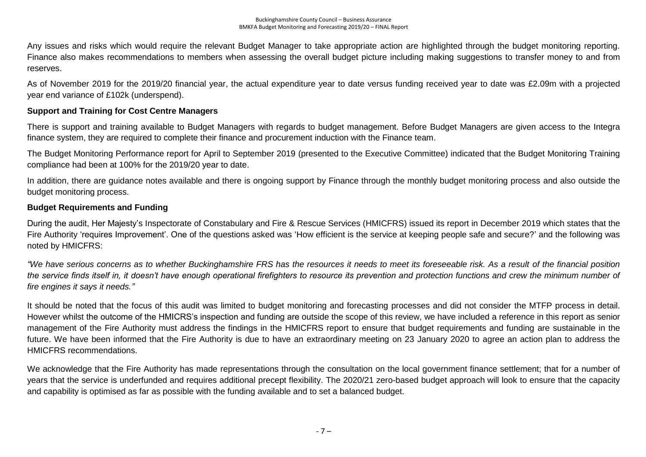Any issues and risks which would require the relevant Budget Manager to take appropriate action are highlighted through the budget monitoring reporting. Finance also makes recommendations to members when assessing the overall budget picture including making suggestions to transfer money to and from reserves.

As of November 2019 for the 2019/20 financial year, the actual expenditure year to date versus funding received year to date was £2.09m with a projected year end variance of £102k (underspend).

#### **Support and Training for Cost Centre Managers**

There is support and training available to Budget Managers with regards to budget management. Before Budget Managers are given access to the Integra finance system, they are required to complete their finance and procurement induction with the Finance team.

The Budget Monitoring Performance report for April to September 2019 (presented to the Executive Committee) indicated that the Budget Monitoring Training compliance had been at 100% for the 2019/20 year to date.

In addition, there are guidance notes available and there is ongoing support by Finance through the monthly budget monitoring process and also outside the budget monitoring process.

#### **Budget Requirements and Funding**

During the audit, Her Majesty's Inspectorate of Constabulary and Fire & Rescue Services (HMICFRS) issued its report in December 2019 which states that the Fire Authority 'requires Improvement'. One of the questions asked was 'How efficient is the service at keeping people safe and secure?' and the following was noted by HMICFRS:

*"We have serious concerns as to whether Buckinghamshire FRS has the resources it needs to meet its foreseeable risk. As a result of the financial position the service finds itself in, it doesn't have enough operational firefighters to resource its prevention and protection functions and crew the minimum number of fire engines it says it needs."*

It should be noted that the focus of this audit was limited to budget monitoring and forecasting processes and did not consider the MTFP process in detail. However whilst the outcome of the HMICRS's inspection and funding are outside the scope of this review, we have included a reference in this report as senior management of the Fire Authority must address the findings in the HMICFRS report to ensure that budget requirements and funding are sustainable in the future. We have been informed that the Fire Authority is due to have an extraordinary meeting on 23 January 2020 to agree an action plan to address the HMICFRS recommendations.

We acknowledge that the Fire Authority has made representations through the consultation on the local government finance settlement; that for a number of years that the service is underfunded and requires additional precept flexibility. The 2020/21 zero-based budget approach will look to ensure that the capacity and capability is optimised as far as possible with the funding available and to set a balanced budget.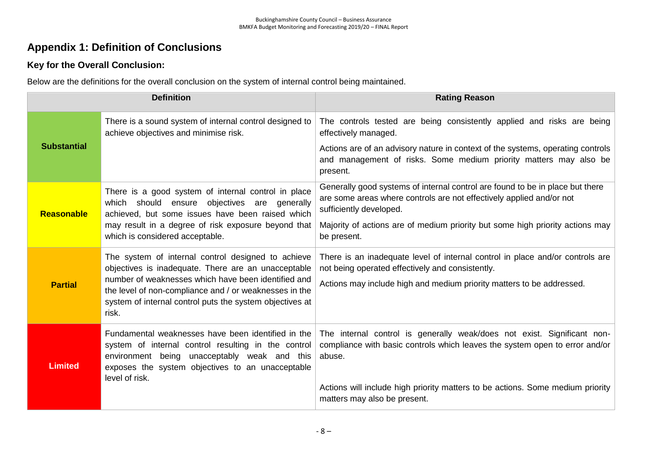# <span id="page-9-0"></span>**Appendix 1: Definition of Conclusions**

### **Key for the Overall Conclusion:**

Below are the definitions for the overall conclusion on the system of internal control being maintained.

| <b>Definition</b>  |                                                                                                                                                                                                               | <b>Rating Reason</b>                                                                                                                                                             |  |  |
|--------------------|---------------------------------------------------------------------------------------------------------------------------------------------------------------------------------------------------------------|----------------------------------------------------------------------------------------------------------------------------------------------------------------------------------|--|--|
| <b>Substantial</b> | There is a sound system of internal control designed to<br>achieve objectives and minimise risk.                                                                                                              | The controls tested are being consistently applied and risks are being<br>effectively managed.                                                                                   |  |  |
|                    |                                                                                                                                                                                                               | Actions are of an advisory nature in context of the systems, operating controls<br>and management of risks. Some medium priority matters may also be<br>present.                 |  |  |
| Reasonable         | There is a good system of internal control in place<br>objectives<br>which should<br>ensure<br>are generally<br>achieved, but some issues have been raised which                                              | Generally good systems of internal control are found to be in place but there<br>are some areas where controls are not effectively applied and/or not<br>sufficiently developed. |  |  |
|                    | may result in a degree of risk exposure beyond that<br>which is considered acceptable.                                                                                                                        | Majority of actions are of medium priority but some high priority actions may<br>be present.                                                                                     |  |  |
| <b>Partial</b>     | The system of internal control designed to achieve<br>objectives is inadequate. There are an unacceptable                                                                                                     | There is an inadequate level of internal control in place and/or controls are<br>not being operated effectively and consistently.                                                |  |  |
|                    | number of weaknesses which have been identified and<br>the level of non-compliance and / or weaknesses in the<br>system of internal control puts the system objectives at<br>risk.                            | Actions may include high and medium priority matters to be addressed.                                                                                                            |  |  |
| <b>Limited</b>     | Fundamental weaknesses have been identified in the<br>system of internal control resulting in the control<br>environment being unacceptably weak and this<br>exposes the system objectives to an unacceptable | The internal control is generally weak/does not exist. Significant non-<br>compliance with basic controls which leaves the system open to error and/or<br>abuse.                 |  |  |
|                    | level of risk.                                                                                                                                                                                                | Actions will include high priority matters to be actions. Some medium priority<br>matters may also be present.                                                                   |  |  |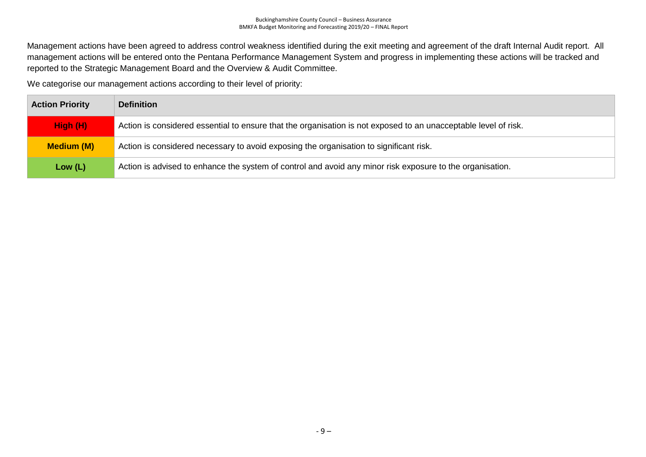Management actions have been agreed to address control weakness identified during the exit meeting and agreement of the draft Internal Audit report. All management actions will be entered onto the Pentana Performance Management System and progress in implementing these actions will be tracked and reported to the Strategic Management Board and the Overview & Audit Committee.

We categorise our management actions according to their level of priority:

| <b>Action Priority</b> | <b>Definition</b>                                                                                               |
|------------------------|-----------------------------------------------------------------------------------------------------------------|
| High (H)               | Action is considered essential to ensure that the organisation is not exposed to an unacceptable level of risk. |
| <b>Medium (M)</b>      | Action is considered necessary to avoid exposing the organisation to significant risk.                          |
| Low $(L)$              | Action is advised to enhance the system of control and avoid any minor risk exposure to the organisation.       |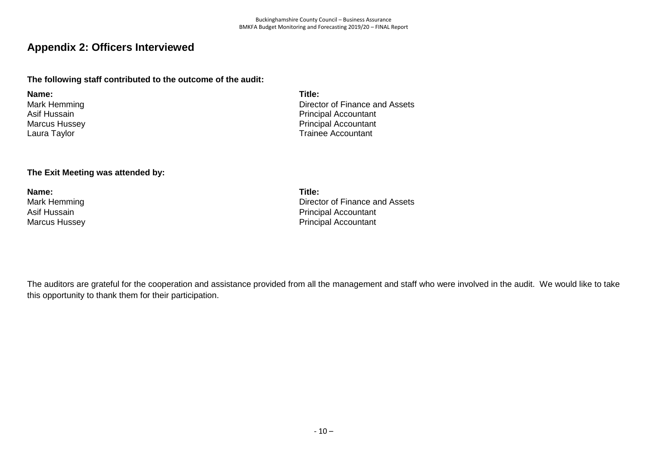# <span id="page-11-0"></span>**Appendix 2: Officers Interviewed**

### **The following staff contributed to the outcome of the audit:**

**Name: Title:** Mark Hemming Asif Hussain Marcus Hussey Laura Taylor

# **The Exit Meeting was attended by:**

**Name: Title:**

Director of Finance and Assets Principal Accountant Principal Accountant Trainee Accountant

Mark Hemming **Director of Finance and Assets** Asif Hussain **Asif Hussain Principal Accountant** Marcus Hussey **National Accountant** Marcus Hussey **Principal Accountant** 

The auditors are grateful for the cooperation and assistance provided from all the management and staff who were involved in the audit. We would like to take this opportunity to thank them for their participation.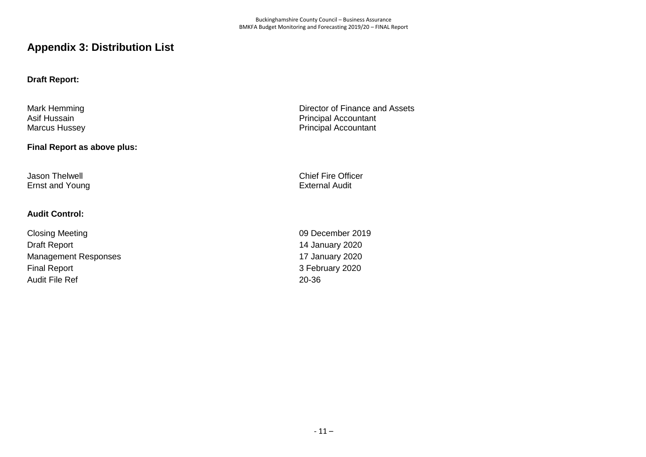# <span id="page-12-0"></span>**Appendix 3: Distribution List**

#### **Draft Report:**

Mark Hemming Asif Hussain Marcus Hussey

#### **Final Report as above plus:**

Ernst and Young

#### **Audit Control:**

Closing Meeting 2019 Draft Report 14 January 2020 Management Responses 17 January 2020 Final Report 3 February 2020 Audit File Ref 20-36

Director of Finance and Assets Principal Accountant Principal Accountant

Jason Thelwell<br>
Ernst and Young<br>
Ernst and Young